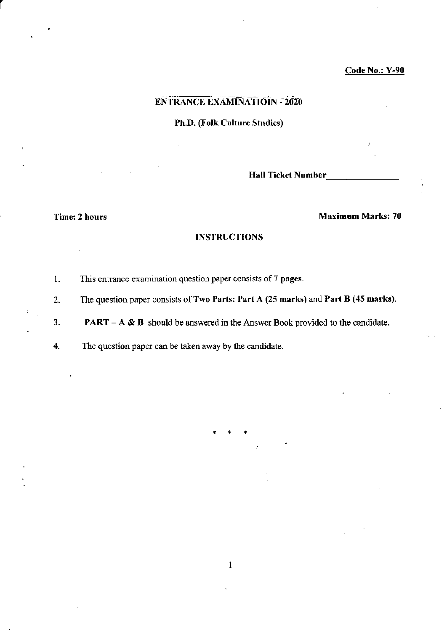## ENTRANCE EXAMINATIOIN - 2OZO

Ph.D. (Folk Culture Studies)

Hall Ticket Number\_

#### Time: 2 hours Maximum Marks: 70

#### **INSTRUCTIONS**

1. This entrance examination question paper consists of 7 pages.

2. The question paper consists of Two Parts: Part A (25 marks) and Part B (45 marks).

3. **PART** - A  $\&$  B should be answered in the Answer Book provided to the candidate.

 $\mathbf{1}$ 

4. The question paper can be taken away by the candidate.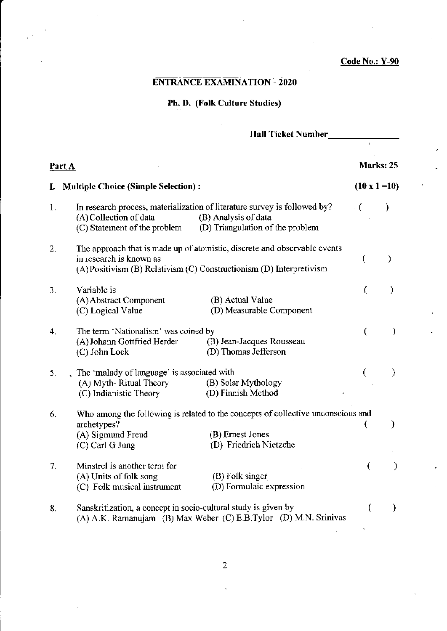$\mathbf{r}$ 

# ENTRANCE EXAMINATION - 2O2O

## Ph. D. (Folk Culture Studies)

## Hall Ticket Number

| Part A |                                                                                                                                                                                                 |                      | Marks: 25     |  |
|--------|-------------------------------------------------------------------------------------------------------------------------------------------------------------------------------------------------|----------------------|---------------|--|
| ı.     | <b>Multiple Choice (Simple Selection):</b>                                                                                                                                                      | $(10 \times 1 = 10)$ |               |  |
| 1.     | In research process, materialization of literature survey is followed by?<br>(B) Analysis of data<br>(A) Collection of data<br>(D) Triangulation of the problem<br>(C) Statement of the problem |                      |               |  |
| 2.     | The approach that is made up of atomistic, discrete and observable events<br>in research is known as<br>(A) Positivism (B) Relativism (C) Constructionism (D) Interpretivism                    |                      | )             |  |
| 3.     | Variable is<br>(A) Abstract Component<br>(B) Actual Value<br>(D) Measurable Component<br>(C) Logical Value                                                                                      | €                    | $\mathcal{Y}$ |  |
| 4.     | The term 'Nationalism' was coined by<br>(A) Johann Gottfried Herder<br>(B) Jean-Jacques Rousseau<br>(D) Thomas Jefferson<br>(C) John Lock                                                       | (                    | $\lambda$     |  |
| 5.     | The 'malady of language' is associated with<br>(B) Solar Mythology<br>(A) Myth-Ritual Theory<br>(D) Finnish Method<br>(C) Indianistic Theory                                                    | (                    | €             |  |
| 6.     | Who among the following is related to the concepts of collective unconscious and<br>archetypes?<br>(B) Ernest Jones<br>(A) Sigmund Freud<br>(D) Friedrich Nietzche<br>(C) Carl G Jung           | €                    | $\mathcal{Y}$ |  |
| 7.     | Minstrel is another term for<br>(A) Units of folk song<br>(B) Folk singer<br>(D) Formulaic expression<br>(C) Folk musical instrument                                                            | €                    | €             |  |
| 8.     | Sanskritization, a concept in socio-cultural study is given by<br>(A) A.K. Ramanujam (B) Max Weber (C) E.B.Tylor (D) M.N. Srinivas                                                              | (                    | $\lambda$     |  |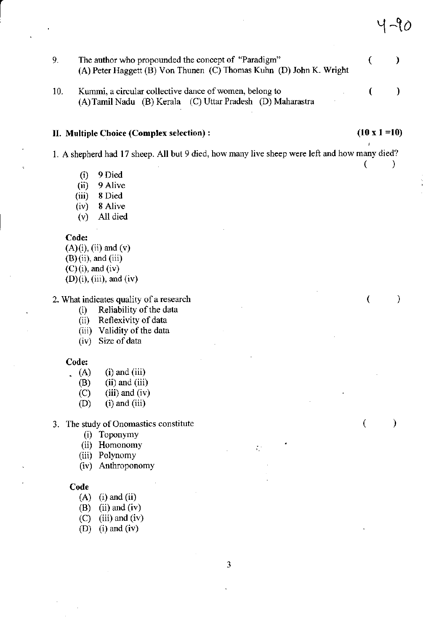9. The author who propounded the concept of "Paradigm"  $\overline{ }$ ) (A) Peter Haggett (B) Von Thunen (C) Thomas Kuhn (D) John K. Wright 10. Kummi, a circular collective dance of women, belong to ( ) (A)Tamil Nadu (B) Kenla (C) Uttar Pradesh (D) Maharastra

#### II. Multiple Choice (Complex selection) :  $(10 \times 1 = 10)$

()

 $\epsilon$ 

 $\left($ 

 $\lambda$ 

 $\mathcal{E}$ 

 $4$  -90  $\,$ 

 $\mathcal{F}$ 

1. A shepherd had 17 sheep. All but 9 died, how many live sheep were left and how many died?

- (i) 9 Died
- (ii) 9 Alive
- (iii) 8 Died
- (iv) 8 Alive
- (v) All died

#### Code:

 $(A)(i)$ ,  $(ii)$  and  $(v)$  $(B)$  (ii), and (iii)  $(C)$  (i), and (iv)

 $(D)(i)$ ,  $(iii)$ , and  $(iv)$ 

2. What indicates quality of a research

- (i) Reliability of the data<br>(ii) Reflexivity of data
- Reflexivity of data
- (iii) Validity of the data
- (iv) Size of data

# Code:<br>(A)

- (A) (i) and (iii)<br>(B) (ii) and (iii)
- $(ii)$  and  $(iii)$
- $(C)$  (iii) and (iv)
- (D) (i) and (iii)

3. The study of Onomastics constitute

- (i) Toponymy
- (ii) Homonomy
- (iii) Polynomy
- (iv) Anthoponomy

#### Code

- $(A)$  (i) and (ii)
- $(B)$  (ii) and (iv)
- $(C)$  (iii) and (iv)
- (D) (i) and (iv)

 $\zeta$  :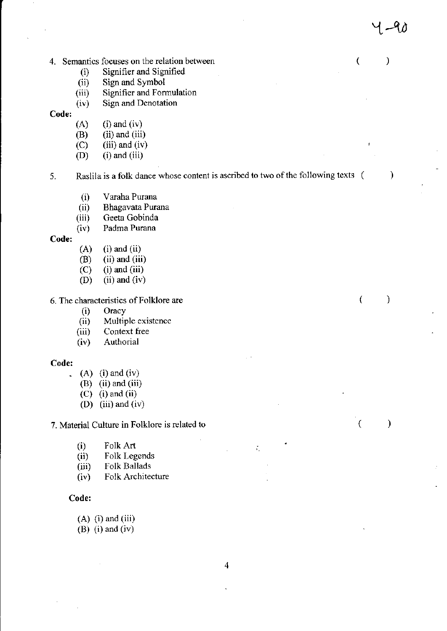- 4. Semantics focuses on the relation between (
	- (i) Signifier and Signified<br>(ii) Sign and Symbol
	-
	- (ii) Sign and Symbol<br>(iii) Signifier and Formulation
	- (iv) Sign and Denotation

- Code:  $(A)$  (i) and (iv)
	- $(B)$  (ii) and (iii)
	- $(C)$  (iii) and (iv)
	- $(D)$  (i) and (iii)

5. Raslila is a folk dance whose content is ascribed to two of the following texts (

 $4 - 40$ 

 $\mathcal{L}$ 

 $\mathcal{E}$ 

€

 $\lambda$ 

 $\mathcal{E}$ 

- (i) Varaha Purana
- (ii) Bhagavata Purana<br>(iii) Geeta Gobinda
- Geeta Gobinda
- (iv) Padma Purana

- **Code:**<br>(A) (i) and (ii)<br>(B) (ii) and (iii)
	- $(ii)$  and  $(iii)$
	- $(C)$  (i) and (iii)
	- (D) (ii) and (iv)

6. The characteristics of Folklore are

- 
- (i) Oracy<br>
(ii) Multiple existence<br>
(iii) Context free
- Context free
- (iv) Authorial

#### Code:

- . (A) (i) and (iv)
	- $(B)$  (ii) and (iii)
	- $(C)$  (i) and (ii)
	- (D) (iii) and (iv)

7. Material Culture in Folklore is related to

- $(i)$  Folk Art
- (ii) Folk Legends<br>(iii) Folk Ballads
- Folk Ballads
- (iu) Folk Architecture

#### Code:

- $(A)$  (i) and (iii)
- $(B)$  (i) and  $(iv)$

÷.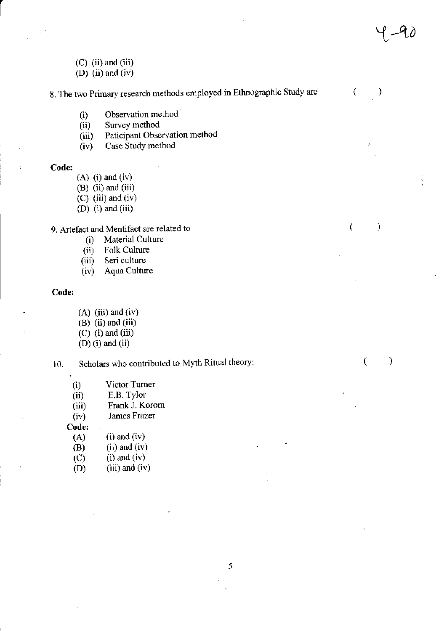- $(C)$  (ii) and (iii)
- (D) (ii) and (iv)

8. The two Primary research methods employed in Ethnographic Study are  $\left($  $\mathcal{E}$ 

 $4-90$ 

 $\mathcal{E}$ 

 $\overline{(\ }$ 

 $\mathcal{E}$ 

 $\left($ 

- (i) Observation method<br>(ii) Survey method
- (ii) Survey method<br>(iii) Paticipant Obse
- Paticipant Observation method
- $(iv)$  Case Study method

#### Code:

- $(A)$  (i) and (iv)
- $(B)$  (ii) and (iii)
- $(C)$  (iii) and (iv)
- $(D)$  (i) and (iii)

# 9. Artefact and Mentifact are related to<br>(i) Material Culture

- (i) Material Culture<br>(ii) Folk Culture
- Folk Culture
- (iii) Seri culture
- (iv) Aqua Culture

### Code:

- $(A)$  (iii) and (iv)
- $(B)$  (ii) and (iii)
- (C) (i) and  $(iii)$
- $(D)$  (i) and (ii)

10. Scholars who contributed to Myth Ritual theory:

| (i) | Victor Turner |
|-----|---------------|
|     |               |

- 
- (ii) E.B. Tylor<br>(iii) Frank J. Ko Frank J. Korom

(iv) James Frazer<br>Code:

| Code: |                   |  |
|-------|-------------------|--|
| (A)   | $(i)$ and $(iv)$  |  |
| (B)   | $(ii)$ and $(iv)$ |  |
| (C)   | $(i)$ and $(iv)$  |  |

 $(D)$  (iii) and (iv)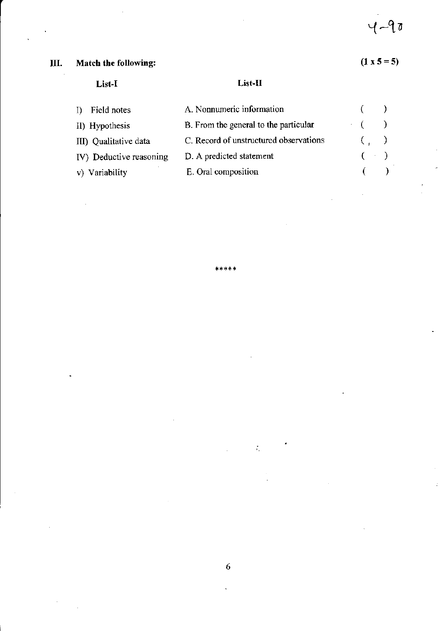#### III. Match the following:

# $(1 \times 5 = 5)$

ċ

# List-I

# List-II

| I) Field notes          | A. Nonnumeric information              |                 |  |
|-------------------------|----------------------------------------|-----------------|--|
| II) Hypothesis          | B. From the general to the particular  | $\cdot$ ( )     |  |
| III) Qualitative data   | C. Record of unstructured observations | $($ , $)$       |  |
| IV) Deductive reasoning | D. A predicted statement               | $($ $\cdot$ $)$ |  |
| v) Variability          | E. Oral composition                    |                 |  |

\*\*\*\*\*

 $\ddot{\phantom{0}}$ 

 $\frac{1}{2}$ 

 $\frac{1}{\lambda_1}$